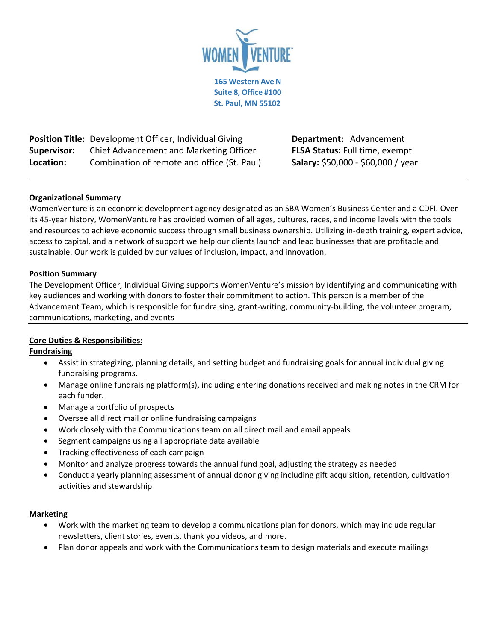

**Position Title:** Development Officer, Individual Giving **Department:** Advancement **Supervisor:** Chief Advancement and Marketing Officer **FLSA Status:** Full time, exempt Location: Combination of remote and office (St. Paul) **Salary:** \$50,000 - \$60,000 / year

# **Organizational Summary**

WomenVenture is an economic development agency designated as an SBA Women's Business Center and a CDFI. Over its 45-year history, WomenVenture has provided women of all ages, cultures, races, and income levels with the tools and resources to achieve economic success through small business ownership. Utilizing in-depth training, expert advice, access to capital, and a network of support we help our clients launch and lead businesses that are profitable and sustainable. Our work is guided by our values of inclusion, impact, and innovation.

### **Position Summary**

The Development Officer, Individual Giving supports WomenVenture's mission by identifying and communicating with key audiences and working with donors to foster their commitment to action. This person is a member of the Advancement Team, which is responsible for fundraising, grant-writing, community-building, the volunteer program, communications, marketing, and events

### **Core Duties & Responsibilities:**

# **Fundraising**

- Assist in strategizing, planning details, and setting budget and fundraising goals for annual individual giving fundraising programs.
- Manage online fundraising platform(s), including entering donations received and making notes in the CRM for each funder.
- Manage a portfolio of prospects
- Oversee all direct mail or online fundraising campaigns
- Work closely with the Communications team on all direct mail and email appeals
- Segment campaigns using all appropriate data available
- Tracking effectiveness of each campaign
- Monitor and analyze progress towards the annual fund goal, adjusting the strategy as needed
- Conduct a yearly planning assessment of annual donor giving including gift acquisition, retention, cultivation activities and stewardship

### **Marketing**

- Work with the marketing team to develop a communications plan for donors, which may include regular newsletters, client stories, events, thank you videos, and more.
- Plan donor appeals and work with the Communications team to design materials and execute mailings